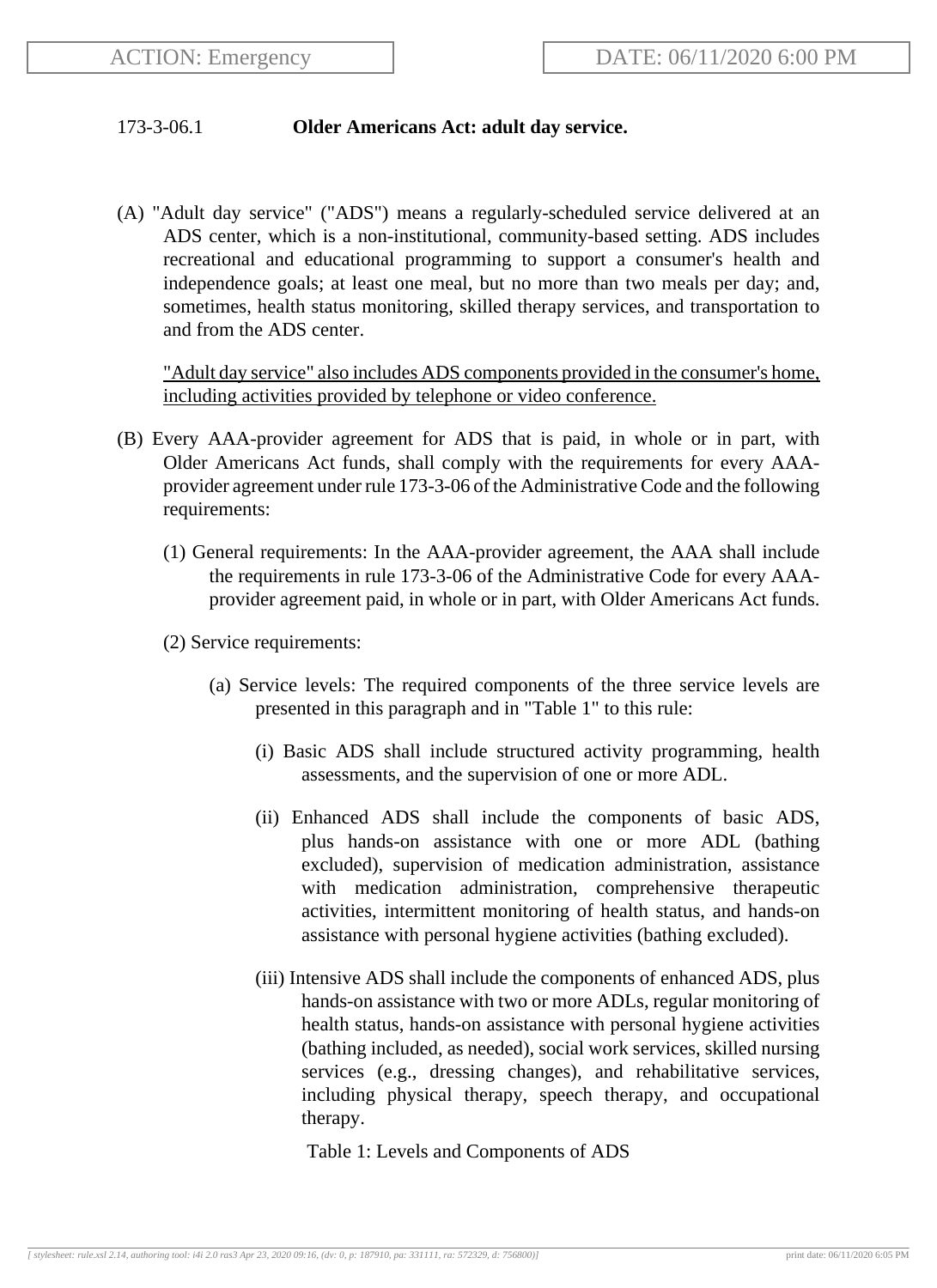## 173-3-06.1 **Older Americans Act: adult day service.**

(A) "Adult day service" ("ADS") means a regularly-scheduled service delivered at an ADS center, which is a non-institutional, community-based setting. ADS includes recreational and educational programming to support a consumer's health and independence goals; at least one meal, but no more than two meals per day; and, sometimes, health status monitoring, skilled therapy services, and transportation to and from the ADS center.

"Adult day service" also includes ADS components provided in the consumer's home, including activities provided by telephone or video conference.

- (B) Every AAA-provider agreement for ADS that is paid, in whole or in part, with Older Americans Act funds, shall comply with the requirements for every AAAprovider agreement under rule 173-3-06 of the Administrative Code and the following requirements:
	- (1) General requirements: In the AAA-provider agreement, the AAA shall include the requirements in rule 173-3-06 of the Administrative Code for every AAAprovider agreement paid, in whole or in part, with Older Americans Act funds.
	- (2) Service requirements:
		- (a) Service levels: The required components of the three service levels are presented in this paragraph and in "Table 1" to this rule:
			- (i) Basic ADS shall include structured activity programming, health assessments, and the supervision of one or more ADL.
			- (ii) Enhanced ADS shall include the components of basic ADS, plus hands-on assistance with one or more ADL (bathing excluded), supervision of medication administration, assistance with medication administration, comprehensive therapeutic activities, intermittent monitoring of health status, and hands-on assistance with personal hygiene activities (bathing excluded).
			- (iii) Intensive ADS shall include the components of enhanced ADS, plus hands-on assistance with two or more ADLs, regular monitoring of health status, hands-on assistance with personal hygiene activities (bathing included, as needed), social work services, skilled nursing services (e.g., dressing changes), and rehabilitative services, including physical therapy, speech therapy, and occupational therapy.
				- Table 1: Levels and Components of ADS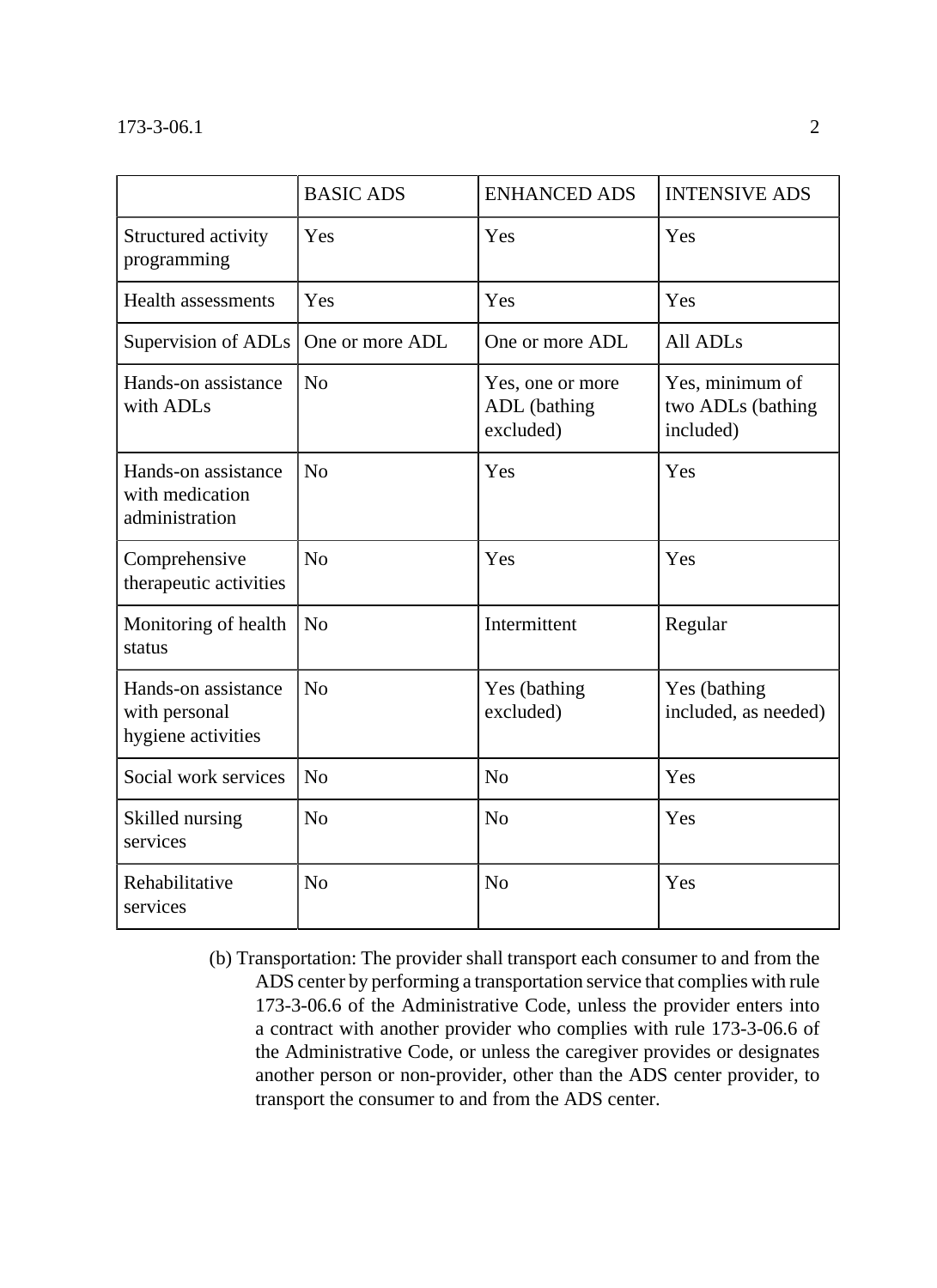|                                                            | <b>BASIC ADS</b> | <b>ENHANCED ADS</b>                           | <b>INTENSIVE ADS</b>                              |
|------------------------------------------------------------|------------------|-----------------------------------------------|---------------------------------------------------|
| Structured activity<br>programming                         | Yes              | Yes                                           | Yes                                               |
| <b>Health assessments</b>                                  | Yes              | Yes                                           | Yes                                               |
| Supervision of ADLs                                        | One or more ADL  | One or more ADL                               | All ADLs                                          |
| Hands-on assistance<br>with ADLs                           | N <sub>0</sub>   | Yes, one or more<br>ADL (bathing<br>excluded) | Yes, minimum of<br>two ADLs (bathing<br>included) |
| Hands-on assistance<br>with medication<br>administration   | N <sub>o</sub>   | Yes                                           | Yes                                               |
| Comprehensive<br>therapeutic activities                    | No               | Yes                                           | Yes                                               |
| Monitoring of health<br>status                             | N <sub>0</sub>   | Intermittent                                  | Regular                                           |
| Hands-on assistance<br>with personal<br>hygiene activities | N <sub>o</sub>   | Yes (bathing)<br>excluded)                    | Yes (bathing<br>included, as needed)              |
| Social work services                                       | N <sub>o</sub>   | N <sub>o</sub>                                | Yes                                               |
| Skilled nursing<br>services                                | N <sub>0</sub>   | N <sub>o</sub>                                | Yes                                               |
| Rehabilitative<br>services                                 | N <sub>o</sub>   | N <sub>o</sub>                                | Yes                                               |

(b) Transportation: The provider shall transport each consumer to and from the ADS center by performing a transportation service that complies with rule 173-3-06.6 of the Administrative Code, unless the provider enters into a contract with another provider who complies with rule 173-3-06.6 of the Administrative Code, or unless the caregiver provides or designates another person or non-provider, other than the ADS center provider, to transport the consumer to and from the ADS center.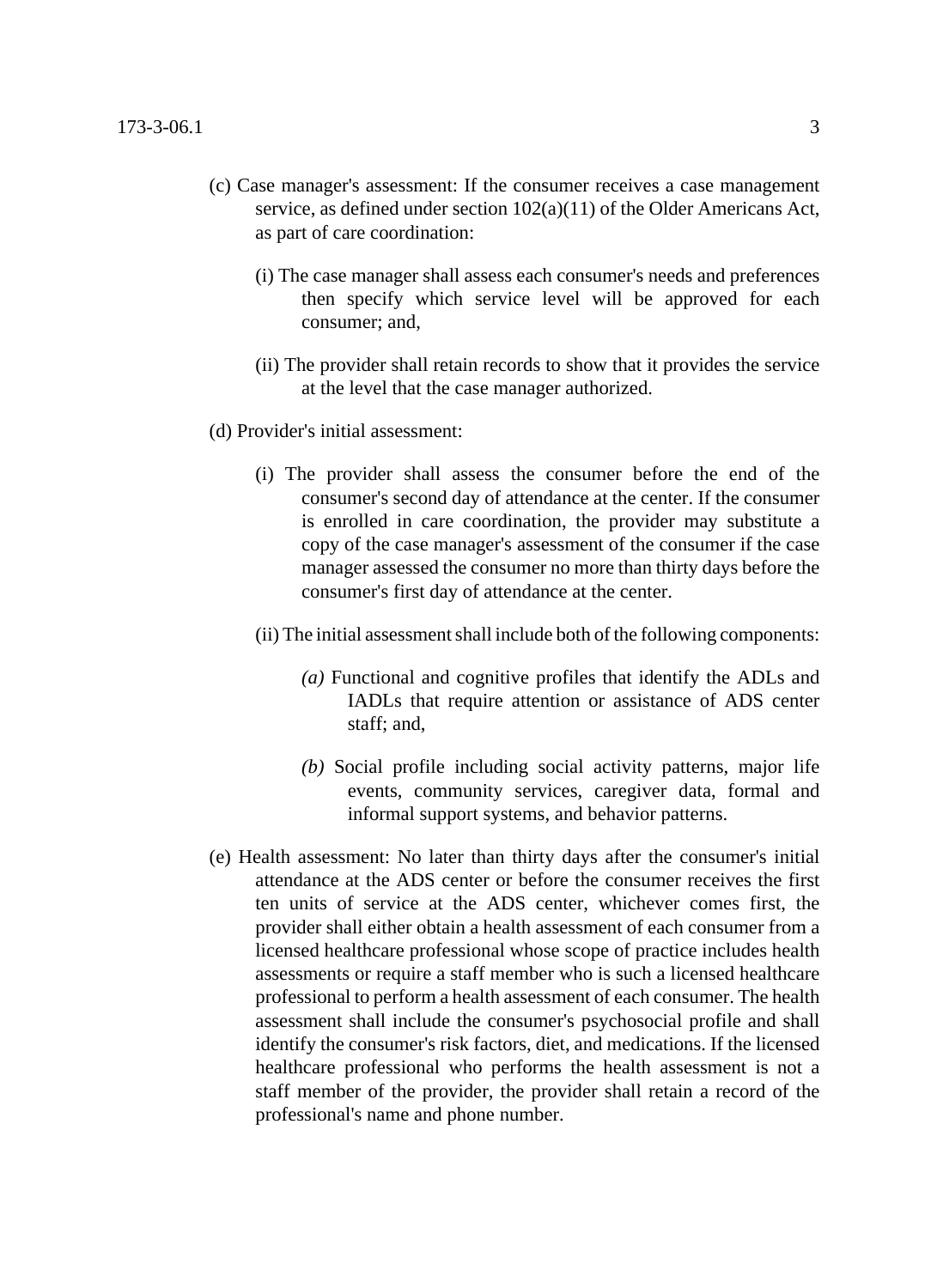- (c) Case manager's assessment: If the consumer receives a case management service, as defined under section 102(a)(11) of the Older Americans Act, as part of care coordination:
	- (i) The case manager shall assess each consumer's needs and preferences then specify which service level will be approved for each consumer; and,
	- (ii) The provider shall retain records to show that it provides the service at the level that the case manager authorized.
- (d) Provider's initial assessment:
	- (i) The provider shall assess the consumer before the end of the consumer's second day of attendance at the center. If the consumer is enrolled in care coordination, the provider may substitute a copy of the case manager's assessment of the consumer if the case manager assessed the consumer no more than thirty days before the consumer's first day of attendance at the center.
	- (ii) The initial assessment shall include both of the following components:
		- *(a)* Functional and cognitive profiles that identify the ADLs and IADLs that require attention or assistance of ADS center staff; and,
		- *(b)* Social profile including social activity patterns, major life events, community services, caregiver data, formal and informal support systems, and behavior patterns.
- (e) Health assessment: No later than thirty days after the consumer's initial attendance at the ADS center or before the consumer receives the first ten units of service at the ADS center, whichever comes first, the provider shall either obtain a health assessment of each consumer from a licensed healthcare professional whose scope of practice includes health assessments or require a staff member who is such a licensed healthcare professional to perform a health assessment of each consumer. The health assessment shall include the consumer's psychosocial profile and shall identify the consumer's risk factors, diet, and medications. If the licensed healthcare professional who performs the health assessment is not a staff member of the provider, the provider shall retain a record of the professional's name and phone number.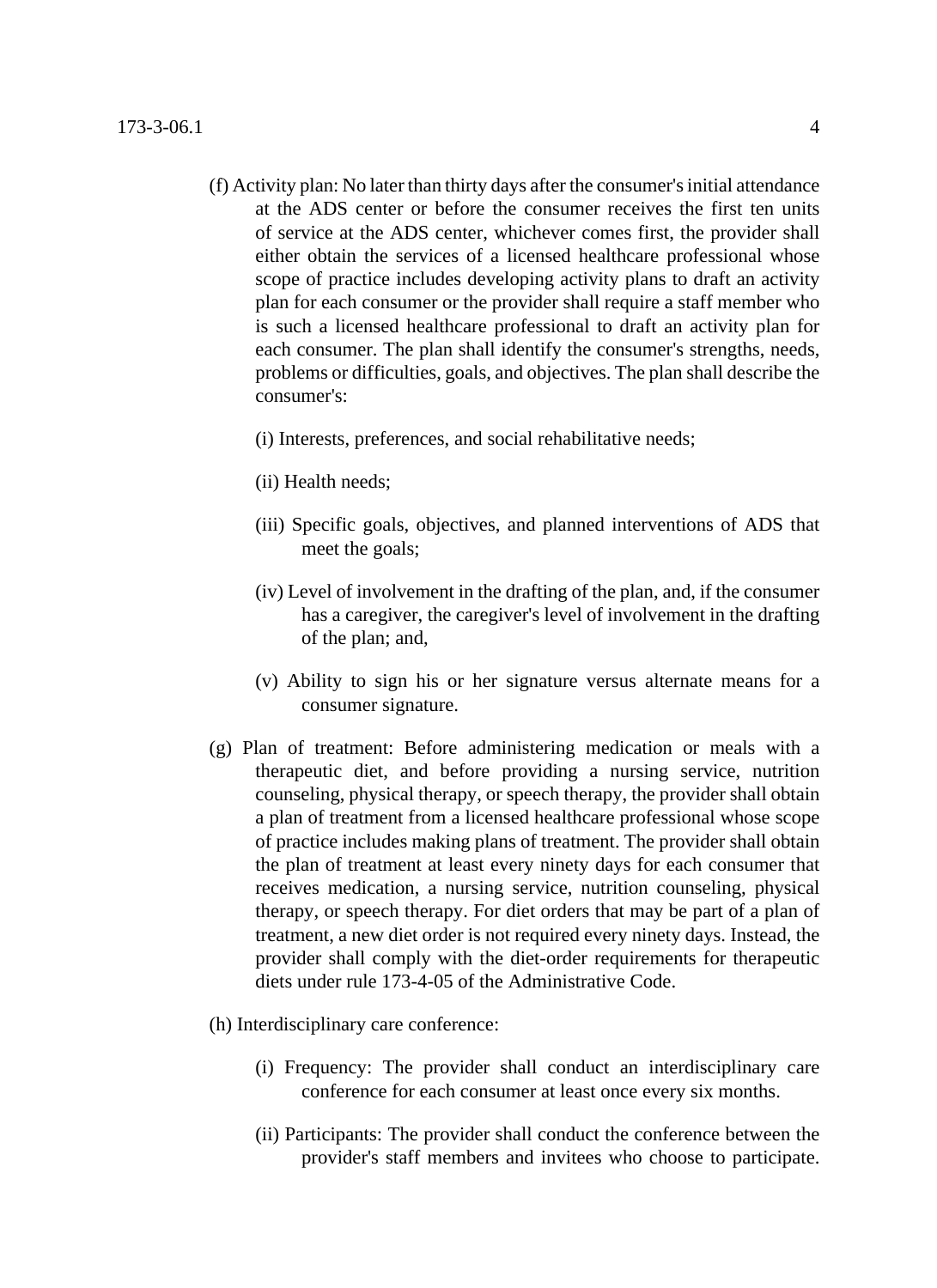- (f) Activity plan: No later than thirty days after the consumer's initial attendance at the ADS center or before the consumer receives the first ten units of service at the ADS center, whichever comes first, the provider shall either obtain the services of a licensed healthcare professional whose scope of practice includes developing activity plans to draft an activity plan for each consumer or the provider shall require a staff member who is such a licensed healthcare professional to draft an activity plan for each consumer. The plan shall identify the consumer's strengths, needs, problems or difficulties, goals, and objectives. The plan shall describe the consumer's:
	- (i) Interests, preferences, and social rehabilitative needs;
	- (ii) Health needs;
	- (iii) Specific goals, objectives, and planned interventions of ADS that meet the goals;
	- (iv) Level of involvement in the drafting of the plan, and, if the consumer has a caregiver, the caregiver's level of involvement in the drafting of the plan; and,
	- (v) Ability to sign his or her signature versus alternate means for a consumer signature.
- (g) Plan of treatment: Before administering medication or meals with a therapeutic diet, and before providing a nursing service, nutrition counseling, physical therapy, or speech therapy, the provider shall obtain a plan of treatment from a licensed healthcare professional whose scope of practice includes making plans of treatment. The provider shall obtain the plan of treatment at least every ninety days for each consumer that receives medication, a nursing service, nutrition counseling, physical therapy, or speech therapy. For diet orders that may be part of a plan of treatment, a new diet order is not required every ninety days. Instead, the provider shall comply with the diet-order requirements for therapeutic diets under rule 173-4-05 of the Administrative Code.
- (h) Interdisciplinary care conference:
	- (i) Frequency: The provider shall conduct an interdisciplinary care conference for each consumer at least once every six months.
	- (ii) Participants: The provider shall conduct the conference between the provider's staff members and invitees who choose to participate.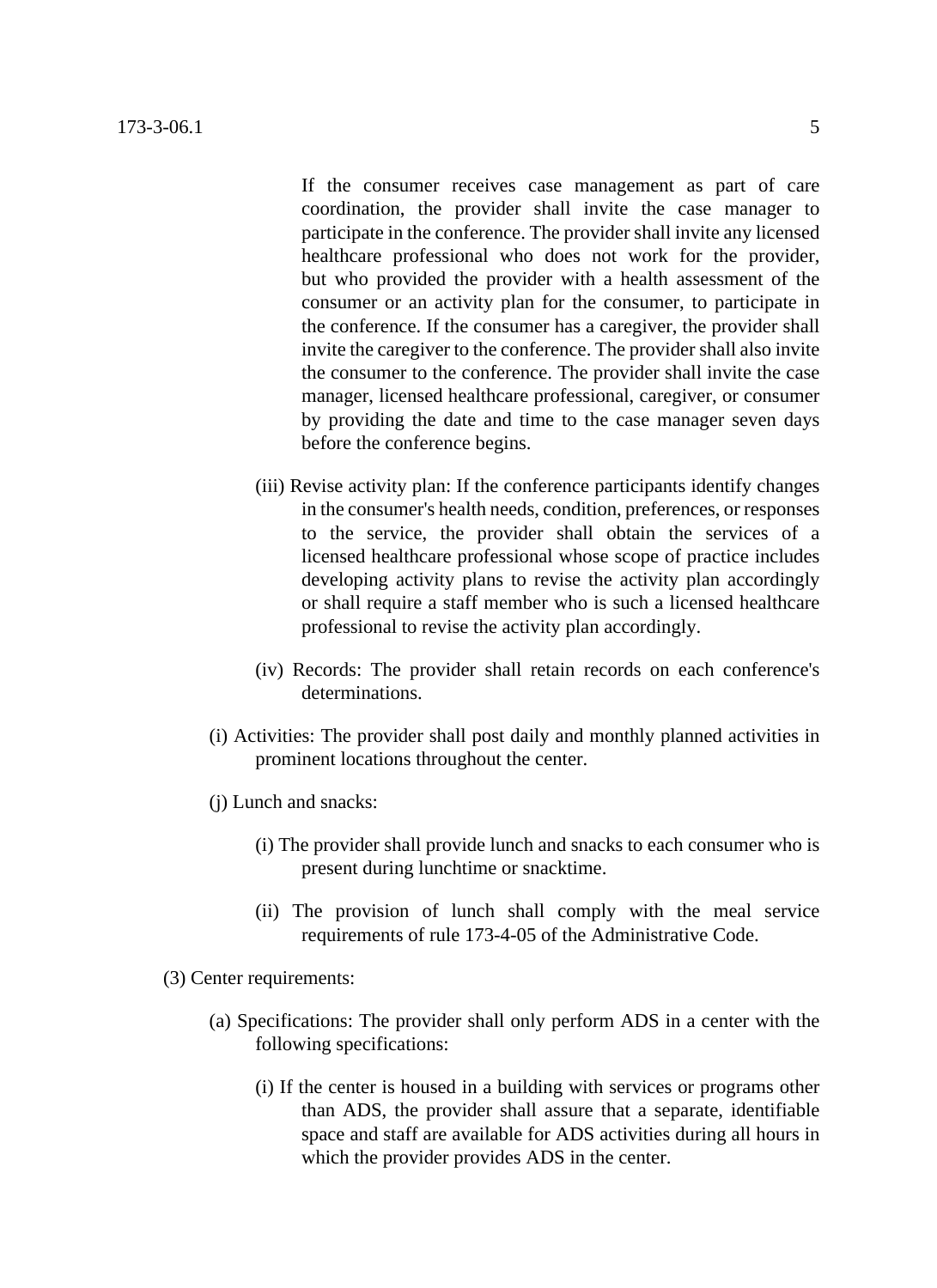If the consumer receives case management as part of care coordination, the provider shall invite the case manager to participate in the conference. The provider shall invite any licensed healthcare professional who does not work for the provider, but who provided the provider with a health assessment of the consumer or an activity plan for the consumer, to participate in the conference. If the consumer has a caregiver, the provider shall invite the caregiver to the conference. The provider shall also invite the consumer to the conference. The provider shall invite the case manager, licensed healthcare professional, caregiver, or consumer by providing the date and time to the case manager seven days before the conference begins.

- (iii) Revise activity plan: If the conference participants identify changes in the consumer's health needs, condition, preferences, or responses to the service, the provider shall obtain the services of a licensed healthcare professional whose scope of practice includes developing activity plans to revise the activity plan accordingly or shall require a staff member who is such a licensed healthcare professional to revise the activity plan accordingly.
- (iv) Records: The provider shall retain records on each conference's determinations.
- (i) Activities: The provider shall post daily and monthly planned activities in prominent locations throughout the center.
- (j) Lunch and snacks:
	- (i) The provider shall provide lunch and snacks to each consumer who is present during lunchtime or snacktime.
	- (ii) The provision of lunch shall comply with the meal service requirements of rule 173-4-05 of the Administrative Code.
- (3) Center requirements:
	- (a) Specifications: The provider shall only perform ADS in a center with the following specifications:
		- (i) If the center is housed in a building with services or programs other than ADS, the provider shall assure that a separate, identifiable space and staff are available for ADS activities during all hours in which the provider provides ADS in the center.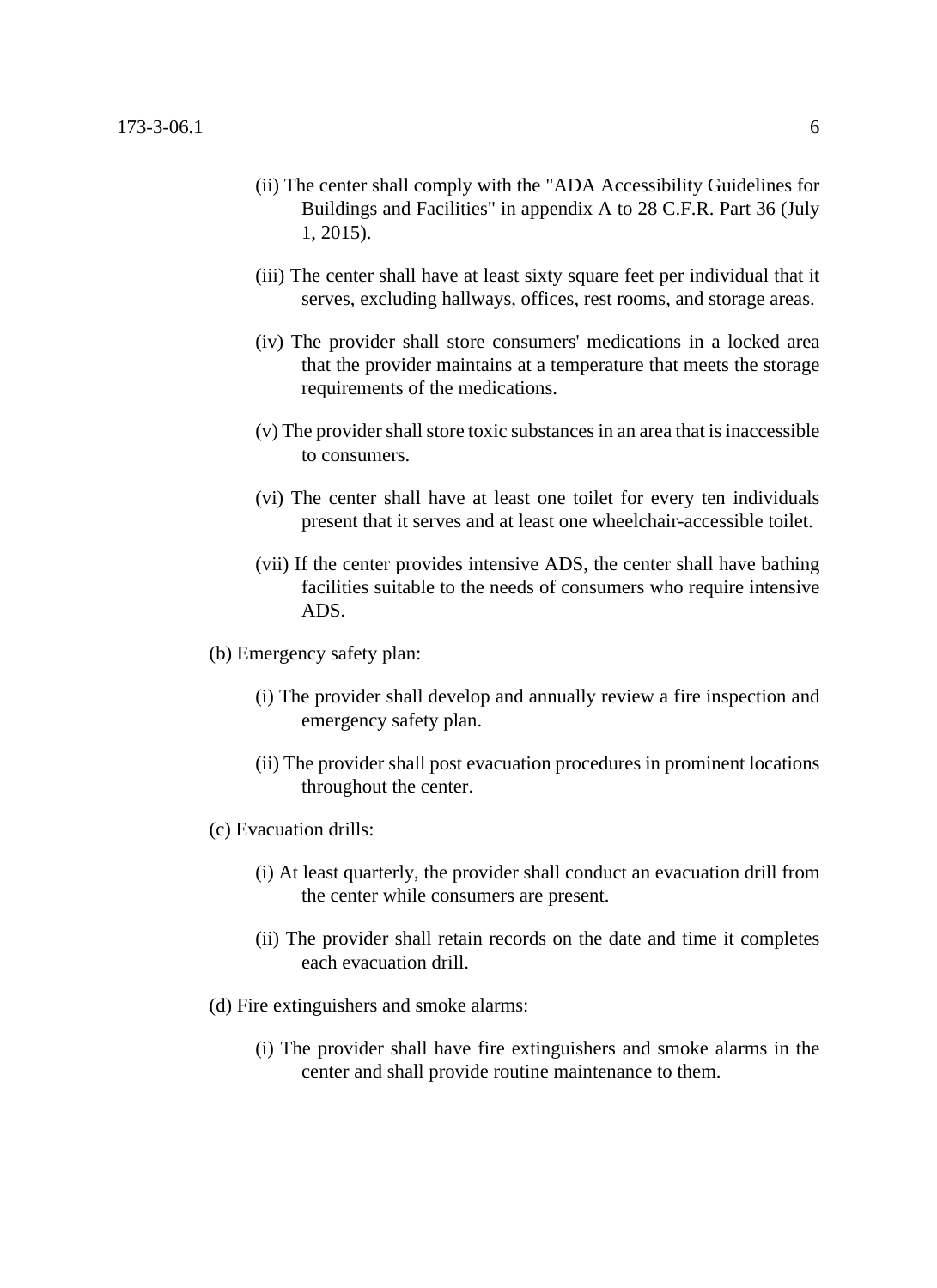- (ii) The center shall comply with the "ADA Accessibility Guidelines for Buildings and Facilities" in appendix A to 28 C.F.R. Part 36 (July 1, 2015).
- (iii) The center shall have at least sixty square feet per individual that it serves, excluding hallways, offices, rest rooms, and storage areas.
- (iv) The provider shall store consumers' medications in a locked area that the provider maintains at a temperature that meets the storage requirements of the medications.
- (v) The provider shall store toxic substances in an area that is inaccessible to consumers.
- (vi) The center shall have at least one toilet for every ten individuals present that it serves and at least one wheelchair-accessible toilet.
- (vii) If the center provides intensive ADS, the center shall have bathing facilities suitable to the needs of consumers who require intensive ADS.
- (b) Emergency safety plan:
	- (i) The provider shall develop and annually review a fire inspection and emergency safety plan.
	- (ii) The provider shall post evacuation procedures in prominent locations throughout the center.
- (c) Evacuation drills:
	- (i) At least quarterly, the provider shall conduct an evacuation drill from the center while consumers are present.
	- (ii) The provider shall retain records on the date and time it completes each evacuation drill.
- (d) Fire extinguishers and smoke alarms:
	- (i) The provider shall have fire extinguishers and smoke alarms in the center and shall provide routine maintenance to them.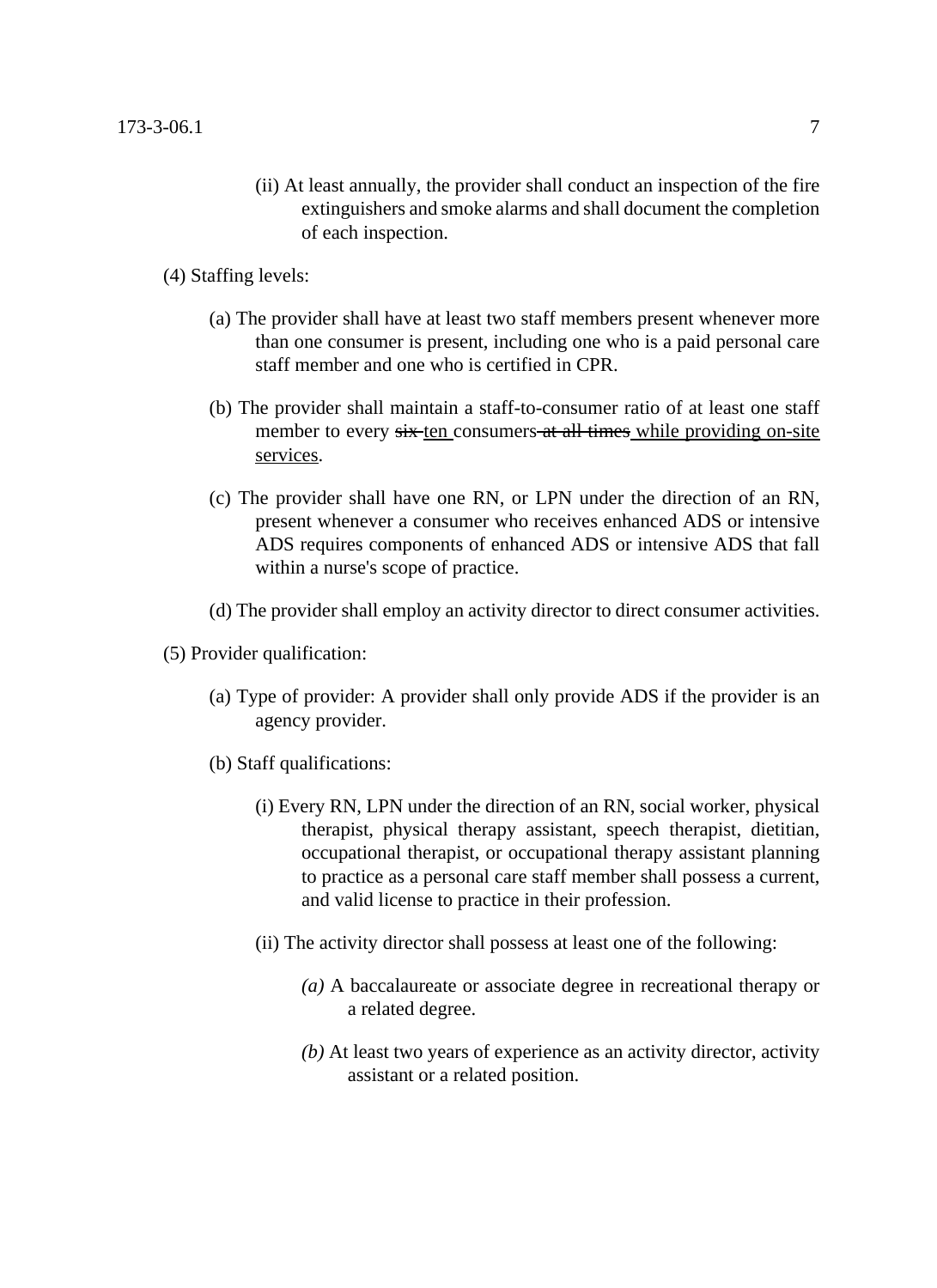(ii) At least annually, the provider shall conduct an inspection of the fire extinguishers and smoke alarms and shall document the completion of each inspection.

(4) Staffing levels:

- (a) The provider shall have at least two staff members present whenever more than one consumer is present, including one who is a paid personal care staff member and one who is certified in CPR.
- (b) The provider shall maintain a staff-to-consumer ratio of at least one staff member to every six ten consumers at all times while providing on-site services.
- (c) The provider shall have one RN, or LPN under the direction of an RN, present whenever a consumer who receives enhanced ADS or intensive ADS requires components of enhanced ADS or intensive ADS that fall within a nurse's scope of practice.
- (d) The provider shall employ an activity director to direct consumer activities.
- (5) Provider qualification:
	- (a) Type of provider: A provider shall only provide ADS if the provider is an agency provider.
	- (b) Staff qualifications:
		- (i) Every RN, LPN under the direction of an RN, social worker, physical therapist, physical therapy assistant, speech therapist, dietitian, occupational therapist, or occupational therapy assistant planning to practice as a personal care staff member shall possess a current, and valid license to practice in their profession.
		- (ii) The activity director shall possess at least one of the following:
			- *(a)* A baccalaureate or associate degree in recreational therapy or a related degree.
			- *(b)* At least two years of experience as an activity director, activity assistant or a related position.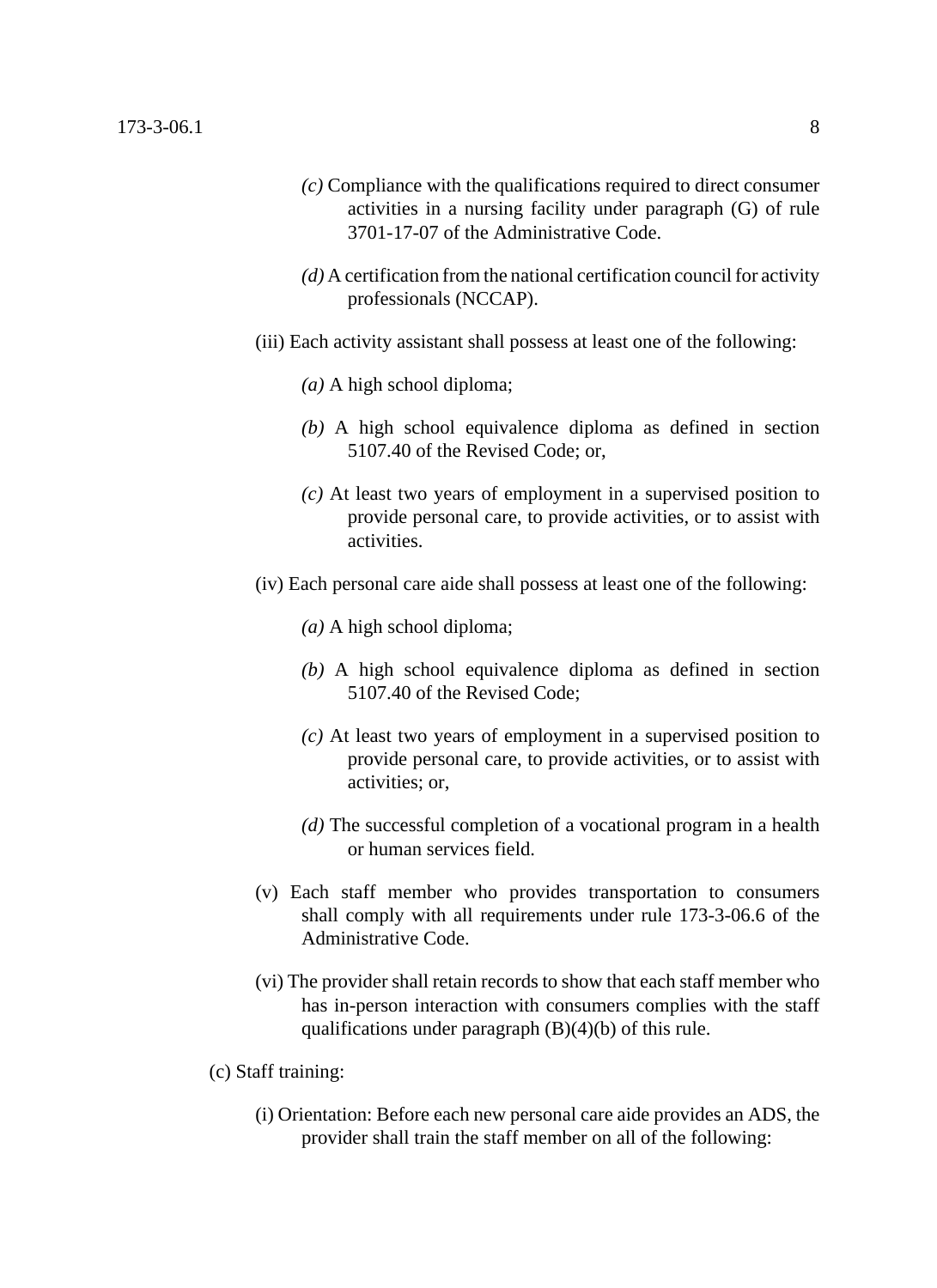- *(c)* Compliance with the qualifications required to direct consumer activities in a nursing facility under paragraph (G) of rule 3701-17-07 of the Administrative Code.
- *(d)* A certification from the national certification council for activity professionals (NCCAP).
- (iii) Each activity assistant shall possess at least one of the following:
	- *(a)* A high school diploma;
	- *(b)* A high school equivalence diploma as defined in section 5107.40 of the Revised Code; or,
	- *(c)* At least two years of employment in a supervised position to provide personal care, to provide activities, or to assist with activities.
- (iv) Each personal care aide shall possess at least one of the following:
	- *(a)* A high school diploma;
	- *(b)* A high school equivalence diploma as defined in section 5107.40 of the Revised Code;
	- *(c)* At least two years of employment in a supervised position to provide personal care, to provide activities, or to assist with activities; or,
	- *(d)* The successful completion of a vocational program in a health or human services field.
- (v) Each staff member who provides transportation to consumers shall comply with all requirements under rule 173-3-06.6 of the Administrative Code.
- (vi) The provider shall retain records to show that each staff member who has in-person interaction with consumers complies with the staff qualifications under paragraph (B)(4)(b) of this rule.
- (c) Staff training:
	- (i) Orientation: Before each new personal care aide provides an ADS, the provider shall train the staff member on all of the following: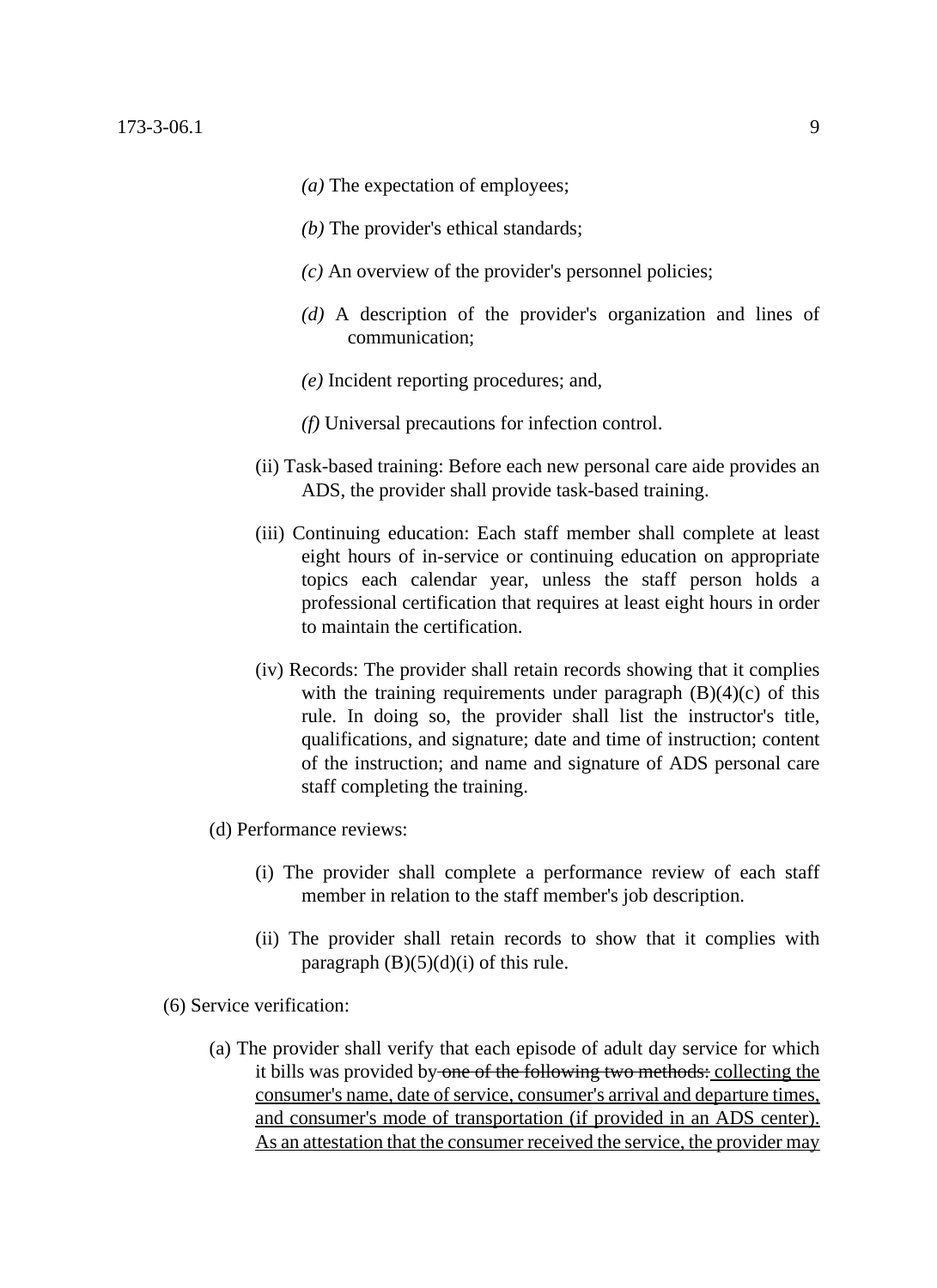- *(a)* The expectation of employees;
- *(b)* The provider's ethical standards;
- *(c)* An overview of the provider's personnel policies;
- *(d)* A description of the provider's organization and lines of communication;
- *(e)* Incident reporting procedures; and,
- *(f)* Universal precautions for infection control.
- (ii) Task-based training: Before each new personal care aide provides an ADS, the provider shall provide task-based training.
- (iii) Continuing education: Each staff member shall complete at least eight hours of in-service or continuing education on appropriate topics each calendar year, unless the staff person holds a professional certification that requires at least eight hours in order to maintain the certification.
- (iv) Records: The provider shall retain records showing that it complies with the training requirements under paragraph  $(B)(4)(c)$  of this rule. In doing so, the provider shall list the instructor's title, qualifications, and signature; date and time of instruction; content of the instruction; and name and signature of ADS personal care staff completing the training.
- (d) Performance reviews:
	- (i) The provider shall complete a performance review of each staff member in relation to the staff member's job description.
	- (ii) The provider shall retain records to show that it complies with paragraph  $(B)(5)(d)(i)$  of this rule.
- (6) Service verification:
	- (a) The provider shall verify that each episode of adult day service for which it bills was provided by one of the following two methods: collecting the consumer's name, date of service, consumer's arrival and departure times, and consumer's mode of transportation (if provided in an ADS center). As an attestation that the consumer received the service, the provider may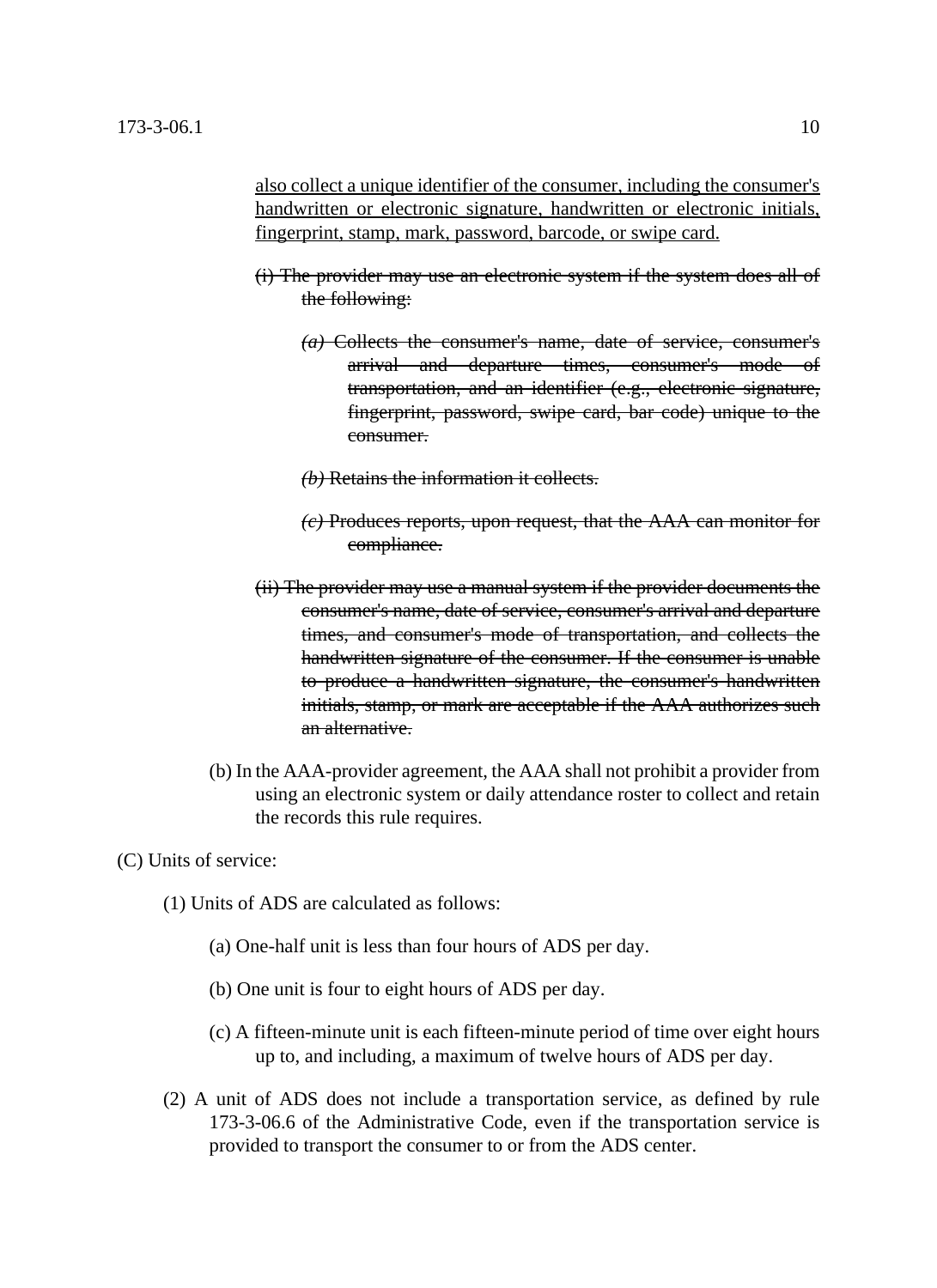also collect a unique identifier of the consumer, including the consumer's handwritten or electronic signature, handwritten or electronic initials, fingerprint, stamp, mark, password, barcode, or swipe card.

- (i) The provider may use an electronic system if the system does all of the following:
	- *(a)* Collects the consumer's name, date of service, consumer's arrival and departure times, consumer's mode of transportation, and an identifier (e.g., electronic signature, fingerprint, password, swipe card, bar code) unique to the consumer.
	- *(b)* Retains the information it collects.
	- *(c)* Produces reports, upon request, that the AAA can monitor for compliance.
- (ii) The provider may use a manual system if the provider documents the consumer's name, date of service, consumer's arrival and departure times, and consumer's mode of transportation, and collects the handwritten signature of the consumer. If the consumer is unable to produce a handwritten signature, the consumer's handwritten initials, stamp, or mark are acceptable if the AAA authorizes such an alternative.
- (b) In the AAA-provider agreement, the AAA shall not prohibit a provider from using an electronic system or daily attendance roster to collect and retain the records this rule requires.

## (C) Units of service:

- (1) Units of ADS are calculated as follows:
	- (a) One-half unit is less than four hours of ADS per day.
	- (b) One unit is four to eight hours of ADS per day.
	- (c) A fifteen-minute unit is each fifteen-minute period of time over eight hours up to, and including, a maximum of twelve hours of ADS per day.
- (2) A unit of ADS does not include a transportation service, as defined by rule 173-3-06.6 of the Administrative Code, even if the transportation service is provided to transport the consumer to or from the ADS center.